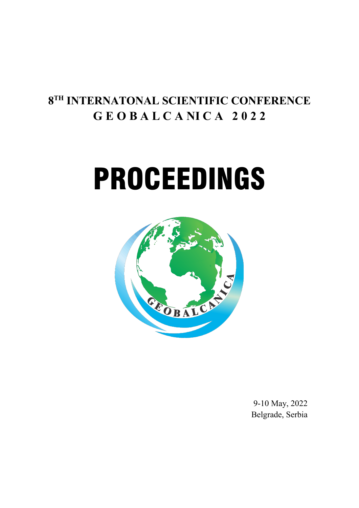# **8TH INTERNATONAL SCIENTIFIC CONFERENCE G E O B A L C A NI C A 2 0 2 2**

# PROCEEDINGS



9-10 May, 2022 Belgrade, Serbia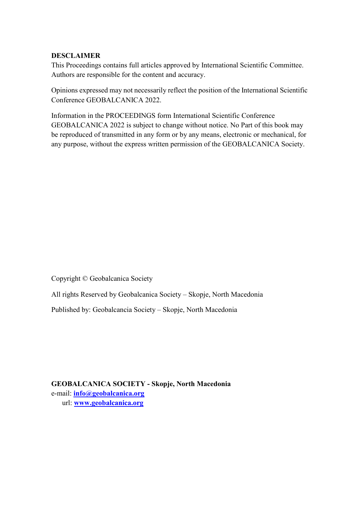## **DESCLAIMER**

This Proceedings contains full articles approved by International Scientific Committee. Authors are responsible for the content and accuracy.

Opinions expressed may not necessarily reflect the position of the International Scientific Conference GEOBALCANICA 2022.

Information in the PROCEEDINGS form International Scientific Conference GEOBALCANICA 2022 is subject to change without notice. No Part of this book may be reproduced of transmitted in any form or by any means, electronic or mechanical, for any purpose, without the express written permission of the GEOBALCANICA Society.

Copyright © Geobalcanica Society

All rights Reserved by Geobalcanica Society – Skopje, North Macedonia

Published by: Geobalcancia Society – Skopje, North Macedonia

**GEOBALCANICA SOCIETY - Skopje, North Macedonia** e-mail: **[info@geobalcanica.org](mailto:info@geobalcanica.org)** url: **[www.geobalcanica.org](http://www.geobalcanica.org/)**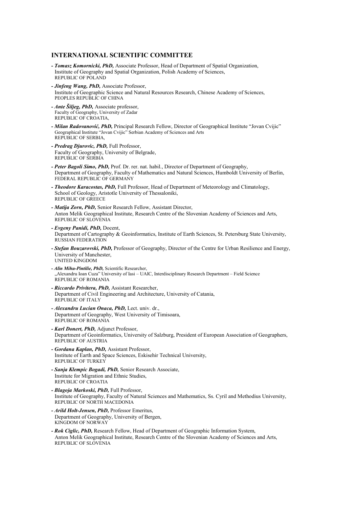#### **INTERNATIONAL SCIENTIFIC COMMITTEE**

- *- Tomasz Komornicki, PhD,* Associate Professor, Head of Department of Spatial Organization, Institute of Geography and Spatial Organization, Polish Academy of Sciences, REPUBLIC OF POLAND
- *- Jinfeng Wang, PhD,* Associate Professor, Institute of Geographic Science and Natural Resources Research, Chinese Academy of Sciences, PEOPLES REPUBLIC OF CHINA
- *- Ante Šiljeg, PhD,* Associate professor, Faculty of Geography, University of Zadar REPUBLIC OF CROATIA,
- *- Milan Radovanović, PhD,* Principal Research Fellow, Director of Geographical Institute "Jovan Cvijic" Geographical Institute "Jovan Cvijic" Serbian Academy of Sciences and Arts REPUBLIC OF SERBIA,
- *- Predrag Djurovic, PhD,* Full Professor, Faculty of Geography, University of Belgrade, REPUBLIC OF SERBIA
- *- Peter Bagoli Simo, PhD,* Prof. Dr. rer. nat. habil., Director of Department of Geography, Department of Geography, Faculty of Mathematics and Natural Sciences, Humboldt University of Berlin, FEDERAL REPUBLIC OF GERMANY
- *- Theodore Karacostas, PhD,* Full Professor, Head of Department of Meteorology and Climatology, School of Geology, Aristotle University of Thessaloniki, REPUBLIC OF GREECE
- *- Matija Zorn, PhD,* Senior Research Fellow, Assistant Director, Anton Melik Geographical Institute, Research Centre of the Slovenian Academy of Sciences and Arts, REPUBLIC OF SLOVENIA
- *- Evgeny Panidi, PhD,* Docent, Department of Cartography & Geoinformatics, Institute of Earth Sciences, St. Petersburg State University, RUSSIAN FEDERATION
- *- Stefan Bouzarovski, PhD,* Professor of Geography, Director of the Centre for Urban Resilience and Energy, University of Manchester, UNITED KINGDOM
- *- Alin Mihu-Pintilie, PhD,* Scientific Researcher, "Alexandru Ioan Cuza" University of Iasi – UAIC, Interdisciplinary Research Department – Field Science REPUBLIC OF ROMANIA
- *- Riccardo Privitera, PhD,* Assistant Researcher, Department of Civil Engineering and Architecture, University of Catania, REPUBLIC OF ITALY
- *- Alexandru Lucian Onaca, PhD,* Lect. univ. dr., Department of Geography, West University of Timisoara, REPUBLIC OF ROMANIA
- *- Karl Donert, PhD,* Adjunct Professor, Department of Geoinformatics, University of Salzburg, President of European Association of Geographers, REPUBLIC OF AUSTRIA
- *- Gordana Kaplan, PhD,* Assistant Professor, Institute of Earth and Space Sciences, Eskisehir Technical University, REPUBLIC OF TURKEY
- *- Sanja Klempic Bogadi, PhD,* Senior Research Associate, Institute for Migration and Ethnic Studies, REPUBLIC OF CROATIA
- *- Blagoja Markoski, PhD,* Full Professor, Institute of Geography, Faculty of Natural Sciences and Mathematics, Ss. Cyril and Methodius University, REPUBLIC OF NORTH MACEDONIA
- *- Arild Holt-Jensen, PhD,* Professor Emeritus, Department of Geography, University of Bergen, KINGDOM OF NORWAY
- *- Rok Ciglic, PhD,* Research Fellow, Head of Department of Geographic Information System, Anton Melik Geographical Institute, Research Centre of the Slovenian Academy of Sciences and Arts, REPUBLIC OF SLOVENIA